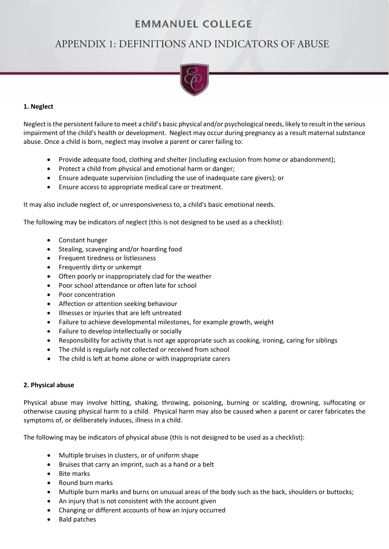# **EMMANUEL COLLEGE**

# APPENDIX 1: DEFINITIONS AND INDICATORS OF ABUSE



### **1. Neglect**

Neglect is the persistent failure to meet a child's basic physical and/or psychological needs, likely to result in the serious impairment of the child's health or development. Neglect may occur during pregnancy as a result maternal substance abuse. Once a child is born, neglect may involve a parent or carer failing to:

- Provide adequate food, clothing and shelter (including exclusion from home or abandonment);
- Protect a child from physical and emotional harm or danger;
- Ensure adequate supervision (including the use of inadequate care givers); or
- Ensure access to appropriate medical care or treatment.

It may also include neglect of, or unresponsiveness to, a child's basic emotional needs.

The following may be indicators of neglect (this is not designed to be used as a checklist):

- Constant hunger
- Stealing, scavenging and/or hoarding food
- Frequent tiredness or listlessness
- Frequently dirty or unkempt
- Often poorly or inappropriately clad for the weather
- Poor school attendance or often late for school
- Poor concentration
- Affection or attention seeking behaviour
- Illnesses or injuries that are left untreated
- Failure to achieve developmental milestones, for example growth, weight
- Failure to develop intellectually or socially
- Responsibility for activity that is not age appropriate such as cooking, ironing, caring for siblings
- The child is regularly not collected or received from school
- The child is left at home alone or with inappropriate carers

## **2. Physical abuse**

Physical abuse may involve hitting, shaking, throwing, poisoning, burning or scalding, drowning, suffocating or otherwise causing physical harm to a child. Physical harm may also be caused when a parent or carer fabricates the symptoms of, or deliberately induces, illness in a child.

The following may be indicators of physical abuse (this is not designed to be used as a checklist):

- Multiple bruises in clusters, or of uniform shape
- Bruises that carry an imprint, such as a hand or a belt
- Bite marks
- Round burn marks
- Multiple burn marks and burns on unusual areas of the body such as the back, shoulders or buttocks;
- An injury that is not consistent with the account given
- Changing or different accounts of how an injury occurred
- Bald patches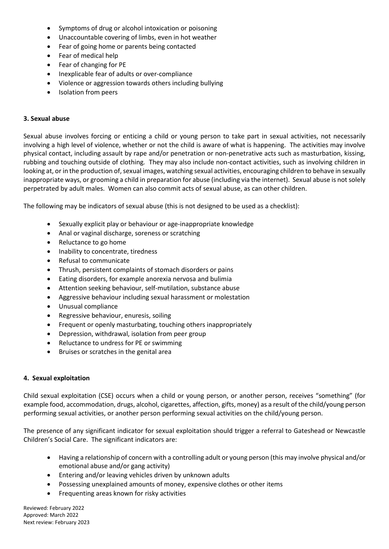- Symptoms of drug or alcohol intoxication or poisoning
- Unaccountable covering of limbs, even in hot weather
- Fear of going home or parents being contacted
- Fear of medical help
- Fear of changing for PE
- Inexplicable fear of adults or over-compliance
- Violence or aggression towards others including bullying
- Isolation from peers

#### **3. Sexual abuse**

Sexual abuse involves forcing or enticing a child or young person to take part in sexual activities, not necessarily involving a high level of violence, whether or not the child is aware of what is happening. The activities may involve physical contact, including assault by rape and/or penetration or non-penetrative acts such as masturbation, kissing, rubbing and touching outside of clothing*.* They may also include non-contact activities, such as involving children in looking at, or in the production of, sexual images, watching sexual activities, encouraging children to behave in sexually inappropriate ways, or grooming a child in preparation for abuse (including via the internet). Sexual abuse is not solely perpetrated by adult males. Women can also commit acts of sexual abuse, as can other children.

The following may be indicators of sexual abuse (this is not designed to be used as a checklist):

- Sexually explicit play or behaviour or age-inappropriate knowledge
- Anal or vaginal discharge, soreness or scratching
- Reluctance to go home
- Inability to concentrate, tiredness
- Refusal to communicate
- Thrush, persistent complaints of stomach disorders or pains
- Eating disorders, for example anorexia nervosa and bulimia
- Attention seeking behaviour, self-mutilation, substance abuse
- Aggressive behaviour including sexual harassment or molestation
- Unusual compliance
- Regressive behaviour, enuresis, soiling
- Frequent or openly masturbating, touching others inappropriately
- Depression, withdrawal, isolation from peer group
- Reluctance to undress for PE or swimming
- Bruises or scratches in the genital area

#### **4. Sexual exploitation**

Child sexual exploitation (CSE) occurs when a child or young person, or another person, receives "something" (for example food, accommodation, drugs, alcohol, cigarettes, affection, gifts, money) as a result of the child/young person performing sexual activities, or another person performing sexual activities on the child/young person.

The presence of any significant indicator for sexual exploitation should trigger a referral to Gateshead or Newcastle Children's Social Care. The significant indicators are:

- Having a relationship of concern with a controlling adult or young person (this may involve physical and/or emotional abuse and/or gang activity)
- Entering and/or leaving vehicles driven by unknown adults
- Possessing unexplained amounts of money, expensive clothes or other items
- Frequenting areas known for risky activities

Reviewed: February 2022 Approved: March 2022 Next review: February 2023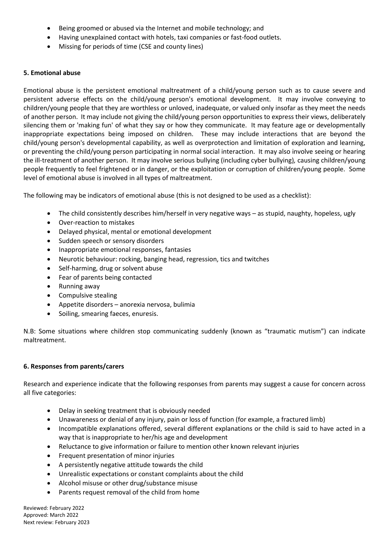- Being groomed or abused via the Internet and mobile technology; and
- Having unexplained contact with hotels, taxi companies or fast-food outlets.
- Missing for periods of time (CSE and county lines)

### **5. Emotional abuse**

Emotional abuse is the persistent emotional maltreatment of a child/young person such as to cause severe and persistent adverse effects on the child/young person's emotional development. It may involve conveying to children/young people that they are worthless or unloved, inadequate, or valued only insofar as they meet the needs of another person. It may include not giving the child/young person opportunities to express their views, deliberately silencing them or 'making fun' of what they say or how they communicate. It may feature age or developmentally inappropriate expectations being imposed on children. These may include interactions that are beyond the child/young person's developmental capability, as well as overprotection and limitation of exploration and learning, or preventing the child/young person participating in normal social interaction. It may also involve seeing or hearing the ill-treatment of another person. It may involve serious bullying (including cyber bullying)*,* causing children/young people frequently to feel frightened or in danger, or the exploitation or corruption of children/young people. Some level of emotional abuse is involved in all types of maltreatment.

The following may be indicators of emotional abuse (this is not designed to be used as a checklist):

- The child consistently describes him/herself in very negative ways as stupid, naughty, hopeless, ugly
- Over-reaction to mistakes
- Delayed physical, mental or emotional development
- Sudden speech or sensory disorders
- Inappropriate emotional responses, fantasies
- Neurotic behaviour: rocking, banging head, regression, tics and twitches
- Self-harming, drug or solvent abuse
- Fear of parents being contacted
- Running away
- Compulsive stealing
- Appetite disorders anorexia nervosa, bulimia
- Soiling, smearing faeces, enuresis.

N.B: Some situations where children stop communicating suddenly (known as "traumatic mutism") can indicate maltreatment.

## **6. Responses from parents/carers**

Research and experience indicate that the following responses from parents may suggest a cause for concern across all five categories:

- Delay in seeking treatment that is obviously needed
- Unawareness or denial of any injury, pain or loss of function (for example, a fractured limb)
- Incompatible explanations offered, several different explanations or the child is said to have acted in a way that is inappropriate to her/his age and development
- Reluctance to give information or failure to mention other known relevant injuries
- Frequent presentation of minor injuries
- A persistently negative attitude towards the child
- Unrealistic expectations or constant complaints about the child
- Alcohol misuse or other drug/substance misuse
- Parents request removal of the child from home

Reviewed: February 2022 Approved: March 2022 Next review: February 2023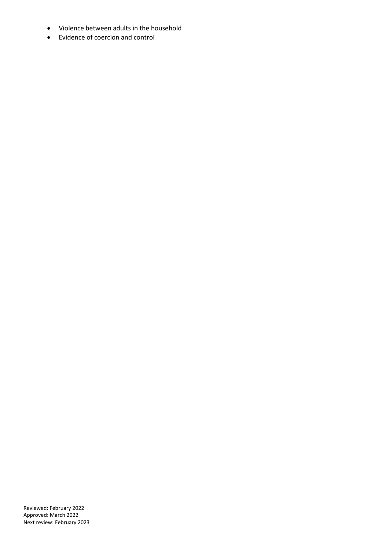- Violence between adults in the household
- Evidence of coercion and control